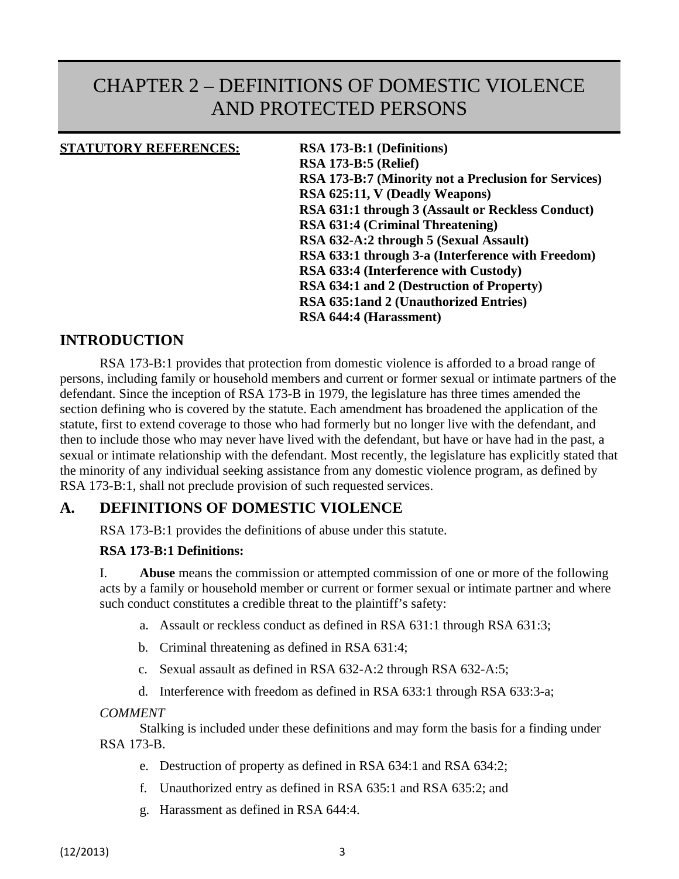# CHAPTER 2 – DEFINITIONS OF DOMESTIC VIOLENCE AND PROTECTED PERSONS

#### **STATUTORY REFERENCES: RSA 173-B:1 (Definitions)**

 **RSA 173-B:5 (Relief) RSA 173-B:7 (Minority not a Preclusion for Services) RSA 625:11, V (Deadly Weapons) RSA 631:1 through 3 (Assault or Reckless Conduct) RSA 631:4 (Criminal Threatening) RSA 632-A:2 through 5 (Sexual Assault) RSA 633:1 through 3-a (Interference with Freedom) RSA 633:4 (Interference with Custody) RSA 634:1 and 2 (Destruction of Property) RSA 635:1and 2 (Unauthorized Entries) RSA 644:4 (Harassment)**

## **INTRODUCTION**

RSA 173-B:1 provides that protection from domestic violence is afforded to a broad range of persons, including family or household members and current or former sexual or intimate partners of the defendant. Since the inception of RSA 173-B in 1979, the legislature has three times amended the section defining who is covered by the statute. Each amendment has broadened the application of the statute, first to extend coverage to those who had formerly but no longer live with the defendant, and then to include those who may never have lived with the defendant, but have or have had in the past, a sexual or intimate relationship with the defendant. Most recently, the legislature has explicitly stated that the minority of any individual seeking assistance from any domestic violence program, as defined by RSA 173-B:1, shall not preclude provision of such requested services.

## **A. DEFINITIONS OF DOMESTIC VIOLENCE**

RSA 173-B:1 provides the definitions of abuse under this statute.

#### **RSA 173-B:1 Definitions:**

I. **Abuse** means the commission or attempted commission of one or more of the following acts by a family or household member or current or former sexual or intimate partner and where such conduct constitutes a credible threat to the plaintiff's safety:

- a. Assault or reckless conduct as defined in RSA 631:1 through RSA 631:3;
- b. Criminal threatening as defined in RSA 631:4;
- c. Sexual assault as defined in RSA 632-A:2 through RSA 632-A:5;
- d. Interference with freedom as defined in RSA 633:1 through RSA 633:3-a;

#### *COMMENT*

Stalking is included under these definitions and may form the basis for a finding under RSA 173-B.

- e. Destruction of property as defined in RSA 634:1 and RSA 634:2;
- f. Unauthorized entry as defined in RSA 635:1 and RSA 635:2; and
- g. Harassment as defined in RSA 644:4.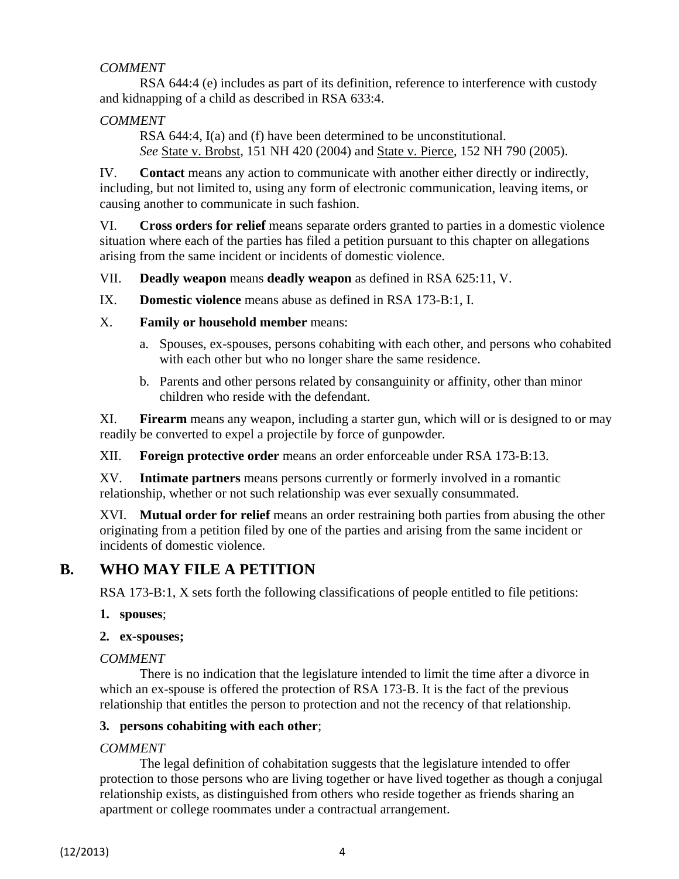## *COMMENT*

RSA 644:4 (e) includes as part of its definition, reference to interference with custody and kidnapping of a child as described in RSA 633:4.

## *COMMENT*

RSA 644:4, I(a) and (f) have been determined to be unconstitutional. *See* State v. Brobst, 151 NH 420 (2004) and State v. Pierce, 152 NH 790 (2005).

IV. **Contact** means any action to communicate with another either directly or indirectly, including, but not limited to, using any form of electronic communication, leaving items, or causing another to communicate in such fashion.

VI. **Cross orders for relief** means separate orders granted to parties in a domestic violence situation where each of the parties has filed a petition pursuant to this chapter on allegations arising from the same incident or incidents of domestic violence.

VII. **Deadly weapon** means **deadly weapon** as defined in RSA 625:11, V.

IX. **Domestic violence** means abuse as defined in RSA 173-B:1, I.

- X. **Family or household member** means:
	- a. Spouses, ex-spouses, persons cohabiting with each other, and persons who cohabited with each other but who no longer share the same residence.
	- b. Parents and other persons related by consanguinity or affinity, other than minor children who reside with the defendant.

XI. **Firearm** means any weapon, including a starter gun, which will or is designed to or may readily be converted to expel a projectile by force of gunpowder.

XII. **Foreign protective order** means an order enforceable under RSA 173-B:13.

XV. **Intimate partners** means persons currently or formerly involved in a romantic relationship, whether or not such relationship was ever sexually consummated.

XVI. **Mutual order for relief** means an order restraining both parties from abusing the other originating from a petition filed by one of the parties and arising from the same incident or incidents of domestic violence.

# **B. WHO MAY FILE A PETITION**

RSA 173-B:1, X sets forth the following classifications of people entitled to file petitions:

#### **1. spouses**;

#### **2. ex-spouses;**

## *COMMENT*

There is no indication that the legislature intended to limit the time after a divorce in which an ex-spouse is offered the protection of RSA 173-B. It is the fact of the previous relationship that entitles the person to protection and not the recency of that relationship.

#### **3. persons cohabiting with each other**;

## *COMMENT*

The legal definition of cohabitation suggests that the legislature intended to offer protection to those persons who are living together or have lived together as though a conjugal relationship exists, as distinguished from others who reside together as friends sharing an apartment or college roommates under a contractual arrangement.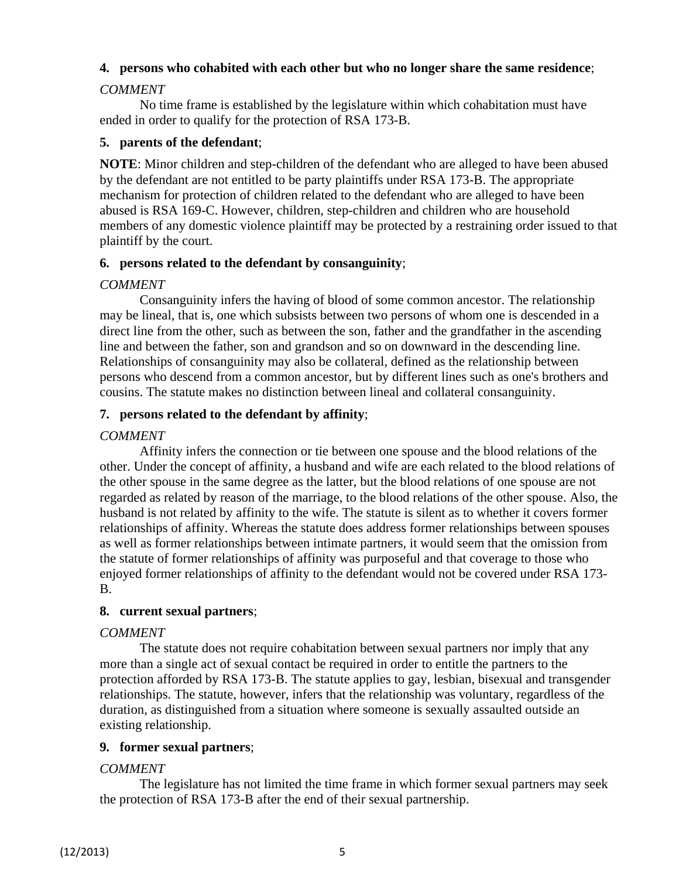#### **4. persons who cohabited with each other but who no longer share the same residence**;

#### *COMMENT*

No time frame is established by the legislature within which cohabitation must have ended in order to qualify for the protection of RSA 173-B.

#### **5. parents of the defendant**;

**NOTE**: Minor children and step-children of the defendant who are alleged to have been abused by the defendant are not entitled to be party plaintiffs under RSA 173-B. The appropriate mechanism for protection of children related to the defendant who are alleged to have been abused is RSA 169-C. However, children, step-children and children who are household members of any domestic violence plaintiff may be protected by a restraining order issued to that plaintiff by the court.

#### **6. persons related to the defendant by consanguinity**;

#### *COMMENT*

Consanguinity infers the having of blood of some common ancestor. The relationship may be lineal, that is, one which subsists between two persons of whom one is descended in a direct line from the other, such as between the son, father and the grandfather in the ascending line and between the father, son and grandson and so on downward in the descending line. Relationships of consanguinity may also be collateral, defined as the relationship between persons who descend from a common ancestor, but by different lines such as one's brothers and cousins. The statute makes no distinction between lineal and collateral consanguinity.

#### **7. persons related to the defendant by affinity**;

#### *COMMENT*

Affinity infers the connection or tie between one spouse and the blood relations of the other. Under the concept of affinity, a husband and wife are each related to the blood relations of the other spouse in the same degree as the latter, but the blood relations of one spouse are not regarded as related by reason of the marriage, to the blood relations of the other spouse. Also, the husband is not related by affinity to the wife. The statute is silent as to whether it covers former relationships of affinity. Whereas the statute does address former relationships between spouses as well as former relationships between intimate partners, it would seem that the omission from the statute of former relationships of affinity was purposeful and that coverage to those who enjoyed former relationships of affinity to the defendant would not be covered under RSA 173- B.

#### **8. current sexual partners**;

#### *COMMENT*

The statute does not require cohabitation between sexual partners nor imply that any more than a single act of sexual contact be required in order to entitle the partners to the protection afforded by RSA 173-B. The statute applies to gay, lesbian, bisexual and transgender relationships. The statute, however, infers that the relationship was voluntary, regardless of the duration, as distinguished from a situation where someone is sexually assaulted outside an existing relationship.

#### **9. former sexual partners**;

#### *COMMENT*

The legislature has not limited the time frame in which former sexual partners may seek the protection of RSA 173-B after the end of their sexual partnership.